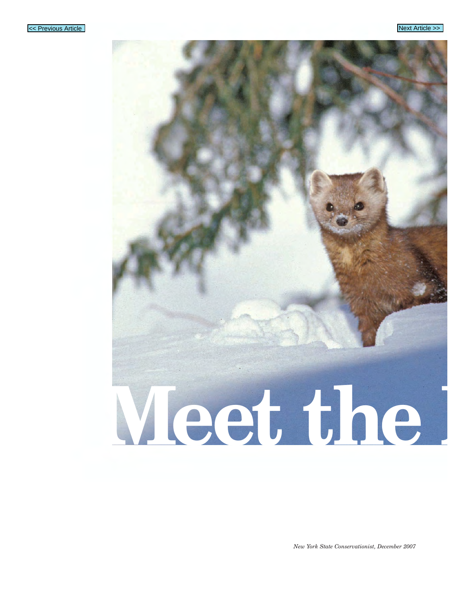

## **Meet the M**

*New York State Conservationist, December 2007*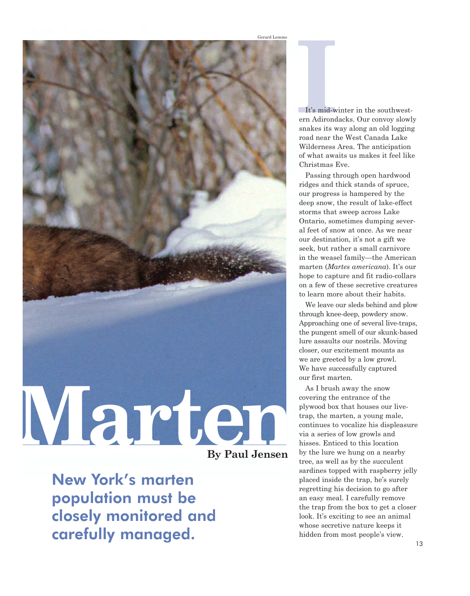

New York's marten population must be closely monitored and carefully managed.

**It's mid-winter in the southwest-<br>
<b>It's mid-winter in the southwest-**<br> **In Adirondacks. Our convoy slowled started in the south started in the south started in the started started in the started in the started in the sta** ern Adirondacks. Our convoy slowly snakes its way along an old logging road near the West Canada Lake Wilderness Area. The anticipation of what awaits us makes it feel like Christmas Eve.

Passing through open hardwood ridges and thick stands of spruce, our progress is hampered by the deep snow, the result of lake-effect storms that sweep across Lake Ontario, sometimes dumping several feet of snow at once. As we near our destination, it's not a gift we seek, but rather a small carnivore in the weasel family—the American marten (*Martes americana*). It's our hope to capture and fit radio-collars on a few of these secretive creatures to learn more about their habits.

 We leave our sleds behind and plow through knee-deep, powdery snow. Approaching one of several live-traps, the pungent smell of our skunk-based lure assaults our nostrils. Moving closer, our excitement mounts as we are greeted by a low growl. We have successfully captured our first marten.

As I brush away the snow covering the entrance of the plywood box that houses our livetrap, the marten, a young male, continues to vocalize his displeasure via a series of low growls and hisses. Enticed to this location by the lure we hung on a nearby tree, as well as by the succulent sardines topped with raspberry jelly placed inside the trap, he's surely regretting his decision to go after an easy meal. I carefully remove the trap from the box to get a closer look. It's exciting to see an animal whose secretive nature keeps it hidden from most people's view.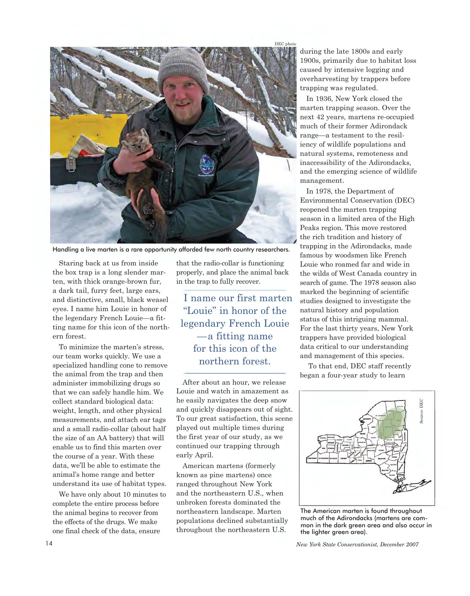



Handling a live marten is a rare opportunity afforded few north country researchers.

Staring back at us from inside the box trap is a long slender marten, with thick orange-brown fur, a dark tail, furry feet, large ears, and distinctive, small, black weasel eyes. I name him Louie in honor of the legendary French Louie—a fitting name for this icon of the northern forest.

 To minimize the marten's stress, our team works quickly. We use a specialized handling cone to remove the animal from the trap and then administer immobilizing drugs so that we can safely handle him. We collect standard biological data: weight, length, and other physical measurements, and attach ear tags and a small radio-collar (about half the size of an AA battery) that will enable us to find this marten over the course of a year. With these data, we'll be able to estimate the animal's home range and better understand its use of habitat types.

 We have only about 10 minutes to complete the entire process before the animal begins to recover from the effects of the drugs. We make one final check of the data, ensure

 that the radio-collar is functioning properly, and place the animal back in the trap to fully recover.

I name our first marten "Louie" in honor of the legendary French Louie —a fitting name for this icon of the northern forest.

After about an hour, we release Louie and watch in amazement as he easily navigates the deep snow and quickly disappears out of sight. To our great satisfaction, this scene played out multiple times during the first year of our study, as we continued our trapping through early April.

American martens (formerly known as pine martens) once ranged throughout New York and the northeastern U.S., when unbroken forests dominated the northeastern landscape. Marten populations declined substantially throughout the northeastern U.S.

during the late 1800s and early 1900s, primarily due to habitat loss caused by intensive logging and overharvesting by trappers before trapping was regulated.

In 1936, New York closed the marten trapping season. Over the next 42 years, martens re-occupied much of their former Adirondack range—a testament to the resiliency of wildlife populations and natural systems, remoteness and inaccessibility of the Adirondacks, and the emerging science of wildlife management.

 In 1978, the Department of reopened the marten trapping season in a limited area of the High Peaks region. This move restored the rich tradition and history of trapping in the Adirondacks, made famous by woodsmen like French Louie who roamed far and wide in the wilds of West Canada country in search of game. The 1978 season also marked the beginning of scientific studies designed to investigate the natural history and population status of this intriguing mammal. For the last thirty years, New York trappers have provided biological data critical to our understanding and management of this species. Environmental Conservation (DEC)

To that end, DEC staff recently began a four-year study to learn



The American marten is found throughout much of the Adirondacks (martens are common in the dark green area and also occur in the lighter green area).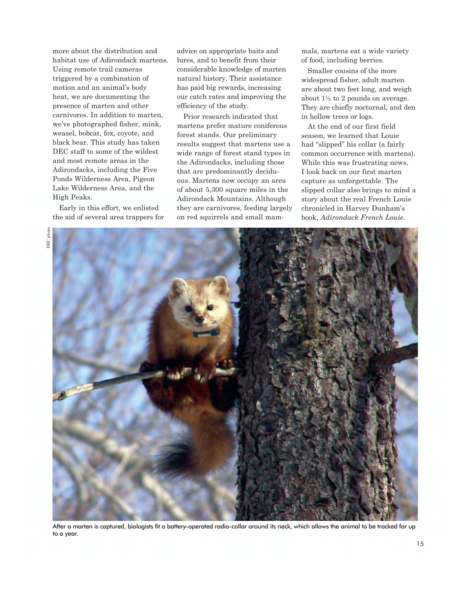more about the distribution and habitat use of Adirondack martens. Using remote trail cameras triggered by a combination of motion and an animal's body heat, we are documenting the presence of marten and other carnivores. In addition to marten, we've photographed fisher, mink, weasel, bobcat, fox, coyote, and black bear. This study has taken DEC staff to some of the wildest and most remote areas in the Adirondacks, including the Five Ponds Wilderness Area, Pigeon Lake Wilderness Area, and the High Peaks.

 Early in this effort, we enlisted the aid of several area trappers for  advice on appropriate baits and lures, and to benefit from their considerable knowledge of marten natural history. Their assistance has paid big rewards, increasing our catch rates and improving the efficiency of the study.

Prior research indicated that martens prefer mature coniferous forest stands. Our preliminary results suggest that martens use a wide range of forest stand types in the Adirondacks, including those that are predominantly deciduous. Martens now occupy an area of about 5,300 square miles in the Adirondack Mountains. Although they are carnivores, feeding largely on red squirrels and small mam-

mals, martens eat a wide variety of food, including berries.

 Smaller cousins of the more widespread fisher, adult marten are about two feet long, and weigh about 1½ to 2 pounds on average. They are chiefly nocturnal, and den in hollow trees or logs.

At the end of our first field season, we learned that Louie had "slipped" his collar (a fairly common occurrence with martens). While this was frustrating news, I look back on our first marten capture as unforgettable. The slipped collar also brings to mind a story about the real French Louie chronicled in Harvey Dunham's book, *Adirondack French Louie*.



 After a marten is captured, biologists fit a battery-operated radio-collar around its neck, which allows the animal to be tracked for up to a year.